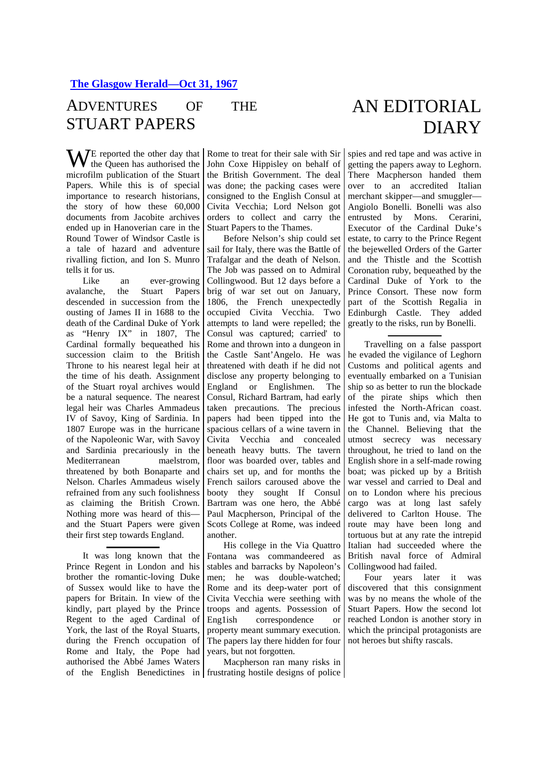## ADVENTURES OF THE STUART PAPERS

WE reported the other day that<br>the Queen has authorised the the Queen has authorised the microfilm publication of the Stuart Papers. While this is of special importance to research historians, the story of how these 60,000 documents from Jacobite archives ended up in Hanoverian care in the Round Tower of Windsor Castle is a tale of hazard and adventure rivalling fiction, and Ion S. Munro tells it for us.

Like an ever-growing avalanche, the Stuart Papers descended in succession from the ousting of James II in 1688 to the death of the Cardinal Duke of York as "Henry IX" in 1807, The Cardinal formally bequeathed his succession claim to the British Throne to his nearest legal heir at the time of his death. Assignment of the Stuart royal archives would be a natural sequence. The nearest legal heir was Charles Ammadeus IV of Savoy, King of Sardinia. In 1807 Europe was in the hurricane of the Napoleonic War, with Savoy and Sardinia precariously in the Mediterranean maelstrom, threatened by both Bonaparte and Nelson. Charles Ammadeus wisely refrained from any such foolishness as claiming the British Crown. Nothing more was heard of this and the Stuart Papers were given their first step towards England.

It was long known that the Prince Regent in London and his brother the romantic-loving Duke of Sussex would like to have the papers for Britain. In view of the kindly, part played by the Prince Regent to the aged Cardinal of York, the last of the Royal Stuarts, during the French occupation of Rome and Italy, the Pope had authorised the Abbé James Waters

Rome to treat for their sale with Sir John Coxe Hippisley on behalf of the British Government. The deal was done; the packing cases were consigned to the English Consul at Civita Vecchia; Lord Nelson got orders to collect and carry the Stuart Papers to the Thames.

Before Nelson's ship could set sail for Italy, there was the Battle of Trafalgar and the death of Nelson. The Job was passed on to Admiral Collingwood. But 12 days before a brig of war set out on January, 1806, the French unexpectedly occupied Civita Vecchia. Two attempts to land were repelled; the Consul was captured; carried' to Rome and thrown into a dungeon in the Castle Sant'Angelo. He was threatened with death if he did not disclose any property belonging to England or Englishmen. The Consul, Richard Bartram, had early taken precautions. The precious papers had been tipped into the spacious cellars of a wine tavern in Civita Vecchia and concealed beneath heavy butts. The tavern floor was boarded over, tables and chairs set up, and for months the French sailors caroused above the booty they sought If Consul Bartram was one hero, the Abbé Paul Macpherson, Principal of the Scots College at Rome, was indeed another.

His college in the Via Quattro Fontana was commandeered as stables and barracks by Napoleon's men; he was double-watched; Rome and its deep-water port of Civita Vecchia were seething with troops and agents. Possession of Eng1ish correspondence or property meant summary execution. The papers lay there hidden for four years, but not forgotten.

of the English Benedictines in frustrating hostile designs of police Macpherson ran many risks in

## AN EDITORIAL DIARY

spies and red tape and was active in getting the papers away to Leghorn. There Macpherson handed them over to an accredited Italian merchant skipper—and smuggler— Angiolo Bonelli. Bonelli was also entrusted by Mons. Cerarini, Executor of the Cardinal Duke's estate, to carry to the Prince Regent the bejewelled Orders of the Garter and the Thistle and the Scottish Coronation ruby, bequeathed by the Cardinal Duke of York to the Prince Consort. These now form part of the Scottish Regalia in Edinburgh Castle. They added greatly to the risks, run by Bonelli.

Travelling on a false passport he evaded the vigilance of Leghorn Customs and political agents and eventually embarked on a Tunisian ship so as better to run the blockade of the pirate ships which then infested the North-African coast. He got to Tunis and, via Malta to the Channel. Believing that the utmost secrecy was necessary throughout, he tried to land on the English shore in a self-made rowing boat; was picked up by a British war vessel and carried to Deal and on to London where his precious cargo was at long last safely delivered to Carlton House. The route may have been long and tortuous but at any rate the intrepid Italian had succeeded where the British naval force of Admiral Collingwood had failed.

Four years later it was discovered that this consignment was by no means the whole of the Stuart Papers. How the second lot reached London is another story in which the principal protagonists are not heroes but shifty rascals.